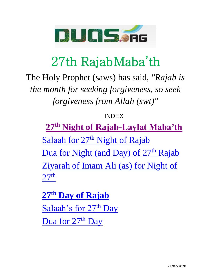

#### 27th RajabMaba'th

The Holy Prophet (saws) has said, *"Rajab is the month for seeking forgiveness, so seek forgiveness from Allah (swt)"*

#### INDEX

**27th [Night of Rajab-Laylat Maba'th](#page-1-0)** Salaah for  $27<sup>th</sup>$  [Night of Rajab](#page-3-0) [Dua for Night \(and Day\) of 27](#page-7-0)<sup>th</sup> Rajab [Ziyarah of Imam Ali \(as\) for Night of](#page-30-0)   $27<sup>th</sup>$  $27<sup>th</sup>$ 

**27th [Day of Rajab](#page-89-0)** [Salaah's for 27](#page-90-0)<sup>th</sup> Day Dua for  $27<sup>th</sup>$  Day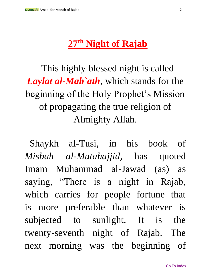#### **27th Night of Rajab**

<span id="page-1-0"></span>This highly blessed night is called *Laylat al-Mab`ath*, which stands for the beginning of the Holy Prophet's Mission of propagating the true religion of Almighty Allah.

Shaykh al-Tusi, in his book of *Misbah al-Mutahajjid*, has quoted Imam Muhammad al-Jawad (as) as saying, "There is a night in Rajab, which carries for people fortune that is more preferable than whatever is subjected to sunlight. It is the twenty-seventh night of Rajab. The next morning was the beginning of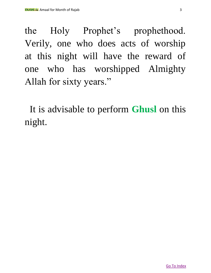the Holy Prophet's prophethood. Verily, one who does acts of worship at this night will have the reward of one who has worshipped Almighty Allah for sixty years."

It is advisable to perform **Ghusl** on this night.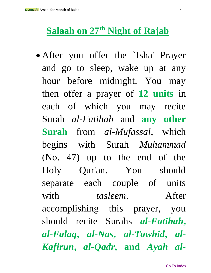#### <span id="page-3-0"></span>**Salaah on 27th Night of Rajab**

• After you offer the 'Isha' Prayer and go to sleep, wake up at any hour before midnight. You may then offer a prayer of **12 units** in each of which you may recite Surah *al-Fatihah* and **any other Surah** from *al-Mufassal*, which begins with Surah *Muhammad* (No. 47) up to the end of the Holy Qur'an. You should separate each couple of units with *tasleem*. After accomplishing this prayer, you should recite Surahs *al-Fatihah***,**  *al-Falaq***,** *al-Nas***,** *al-Tawhid***,** *al-Kafirun***,** *al-Qadr***, and** *Ayah al-*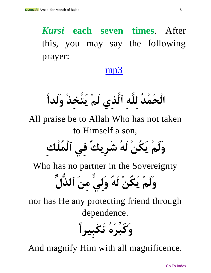*Kursi* **each seven times**. After this, you may say the following prayer:

#### [mp3](http://mp3.duas.org/Rajabamal/27rajabnight.mp3)

**الْحَمْدُ لِلَّهِ ٱلَّذِي لَمْ يَتَّخِذْ وَلَدًا**

All praise be to Allah Who has not taken to Himself a son,

**وَلَمْ يَكُنْ لَهُ شَرِيكٌ فِي ٱلْمُلْكِ**

Who has no partner in the Sovereignty

**وَلَمْ يَكُنْ لَهُ وَلِيٌّ مِنَ ٱلذُّلِّ**

nor has He any protecting friend through dependence.

**وَكَبِّرْهُ تَكْبِيرًا**

And magnify Him with all magnificence.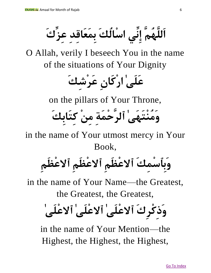**اَللَّهُمَّ إِنِّي اسْالُكَ بِمَعَاقِدِ عِزِّكَ** 

O Allah, verily I beseech You in the name of the situations of Your Dignity

**عَلَىٰ ارْكَانِ عَرْشِكَ** 

on the pillars of Your Throne,

**وَمُنْتَهَىٰ ٱلرَّحْمَةِ مِنْ كِتَابِكَ**

in the name of Your utmost mercy in Your Book,

**وَبِٱسْمِكَ ٱالعْظَمِ ٱالعْظَمِ ٱالعْظَمِ**

in the name of Your Name—the Greatest,

the Greatest, the Greatest,

# **وَذِكْرِكَ ٱالعْلَىٰ ٱالعْلَىٰ ٱالعْلَىٰ**

in the name of Your Mention—the Highest, the Highest, the Highest,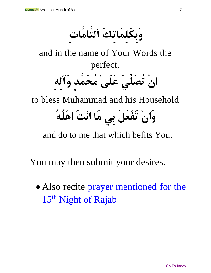**وَبِكَلِمَاتِكَ ٱلتَّامَّاتِ**

and in the name of Your Words the perfect, **انْ تُصَلِّيَ عَلَىٰ مُحَمَّدٍ وَآلِهِ** to bless Muhammad and his Household

## **وَانْ تَفْعَلَ بِي مَا انْتَ اهْلُهُ**

and do to me that which befits You.

You may then submit your desires.

• Also recite prayer mentioned for the 15<sup>th</sup> Night of Rajab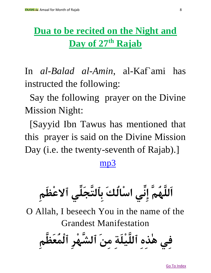#### <span id="page-7-0"></span>**Dua to be recited on the Night and Day of 27th Rajab**

In *al-Balad al-Amin*, al-Kaf`ami has instructed the following:

Say the following prayer on the Divine Mission Night:

[Sayyid Ibn Tawus has mentioned that this prayer is said on the Divine Mission Day (i.e. the twenty-seventh of Rajab).]

#### [mp3](http://www.iraqnoor.net/uploads/folder4/songs/1_d3a21.mp3)

**اَللَّهُمَّ إِنِّي اسْالُكَ بِٱلتَّجَلِّي ٱالعْظَمِ**

O Allah, I beseech You in the name of the Grandest Manifestation

**فِي هٰذِهِ ٱللَّيْلَةِ مِنَ ٱلشَّهْرِ ٱلْمُعَظَّمِ**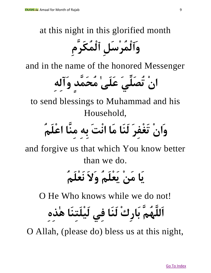at this night in this glorified month

**وَٱلْمُرْسَلِ ٱلْمُكَرَّمِ** 

and in the name of the honored Messenger

**انْ تُصَلِّيَ عَلَىٰ مُحَمَّدٍ وَآلِهِ**

to send blessings to Muhammad and his Household,

**وَانْ تَغْفِرَ لَنَا مَا انْتَ بِهِ مِنَّا اعْلَمُ** 

and forgive us that which You know better than we do.

## **يَا مَنْ يَعْلَمُ وَالَ نَعْلَمُ**

O He Who knows while we do not!

**اَللَّهُمَّ بَارِكْ لَنَا فِي لَيْلَتِنَا هٰذِهِ** 

O Allah, (please do) bless us at this night,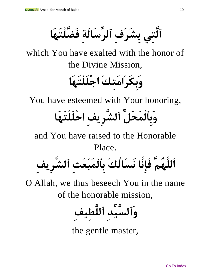**ٱلَّتِي بِشَرَفِ ٱلرِّسَالَةِ فَضَّلْتَهَا**

which You have exalted with the honor of the Divine Mission,

### **وَبِكَرَامَتِكَ اجْلَلْتَهَا**

You have esteemed with Your honoring,

## **وَبِٱلْمَحَلِّ ٱلشَّرِيفِ احْلَلْتَهَا**

and You have raised to the Honorable Place.

**اَللَّهُمَّ فَإِنَّا نَسْالُكَ بِٱلْمَبْعَثِ ٱلشَّرِيفِ** 

O Allah, we thus beseech You in the name of the honorable mission,

**وَٱلسَّيِّدِ ٱللَّ طِيفِ**

the gentle master,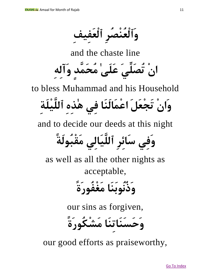**وَٱلْعُنْصُرِ ٱلْعَفِيفِ**

and the chaste line **انْ تُصَلِّيَ عَلَىٰ مُحَمَّدٍ وَآلِهِ**

to bless Muhammad and his Household

**وَانْ تَجْعَلَ اعْمَالَنَا فِي هٰذِهِ ٱللَّ يْلَةِ**

and to decide our deeds at this night

**وَفِي سَائِرِ ٱللَّيَالِي مَقْبُولَة** 

as well as all the other nights as acceptable,

**وَذُنُوبَنَا مَغْفُورَة** 

our sins as forgiven,

**وَحَسَنَاتِنَا مَشْكُورَة** 

our good efforts as praiseworthy,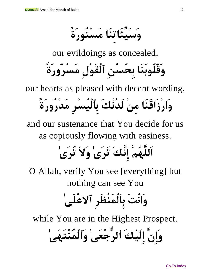**وَسَيِّئَاتِنَا مَسْتُورَة** 

our evildoings as concealed,

**وَقُلُوبَنَا بِحُسْنِ ٱلْقَوْلِ مَسْرُورَة** 

our hearts as pleased with decent wording,

## **وَارْزَاقَنَا مِنْ لَدُنْكَ بِٱلْيُسْرِ مَدْرُورَة**

and our sustenance that You decide for us as copiously flowing with easiness.

## **اَللَّهُمَّ إِنَّكَ تَرَىٰ وَالَ تُرَىٰ**

O Allah, verily You see [everything] but nothing can see You

## **وَانْتَ بِٱلْمَنْظَرِ ٱالعْلَىٰ**

while You are in the Highest Prospect.

**وَإِنَّ إِلَيْكَ ٱلرُّجْعَىٰ وَٱلْمُنْتَهَىٰ**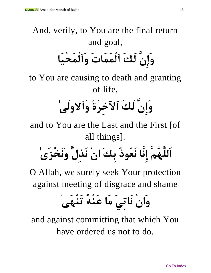And, verily, to You are the final return and goal, **وَإِنَّ لَكَ ٱلْمَمَاتَ وَٱلْمَحْيَا**

to You are causing to death and granting of life,

# **وَإِنَّ لَكَ ٱآلخِرَةَ وَٱالولَىٰ**

and to You are the Last and the First [of all things].

**اَللَّهُمَّ إِنَّا نَعُوذُ بِكَ انْ نَذِلَّ وَنَخْزَىٰ**

O Allah, we surely seek Your protection against meeting of disgrace and shame

### **وَانْ نَاتِيَ مَا عَنْهُ تَنْهَىٰ**

and against committing that which You have ordered us not to do.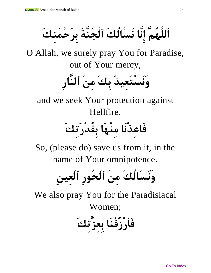**اَللَّهُمَّ إِنَّا نَسْالُكَ ٱلْجَنَّةَ بِرَحْمَتِكَ**

O Allah, we surely pray You for Paradise, out of Your mercy,

**وَنَسْتَعِيذُ بِكَ مِنَ ٱلنَّارِ**

and we seek Your protection against Hellfire.

### **فَاعِذْنَا مِنْهَا بِقُدْرَتِكَ**

So, (please do) save us from it, in the name of Your omnipotence.

**وَنَسْالُكَ مِنَ ٱلْحُورِ ٱلْعِينِ**

We also pray You for the Paradisiacal Women;

**فَٱرْزُقْنَا بِعِزَّتِكَ**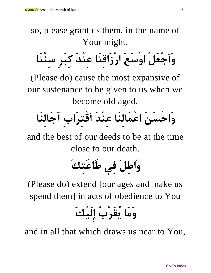so, please grant us them, in the name of Your might.

**وَٱجْعَلْ اوْسَعَ ارْزَاقِنَا عِنْدَ كِبَرِ سِنِّنَا**

(Please do) cause the most expansive of our sustenance to be given to us when we become old aged,

# **وَاحْسَنَ اعْمَالِنَا عِنْدَ ٱقْتِرَابِ آجَالِنَا**

and the best of our deeds to be at the time close to our death.

# **وَاطِلْ فِي طَاعَتِكَ**

(Please do) extend [our ages and make us spend them] in acts of obedience to You

**وَمَا يُقَرِّبُ إِلَيْكَ** 

and in all that which draws us near to You,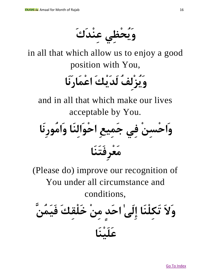**وَيُحْظِي عِنْدَكَ**

in all that which allow us to enjoy a good position with You,

**وَيُزْلِفُ لَدَيْكَ اعْمَارَنَا**

and in all that which make our lives acceptable by You.



(Please do) improve our recognition of You under all circumstance and conditions,

**وَالَ تَكِلْنَا إِلَىٰ احَدٍ مِنْ خَلْقِكَ فَيَمُنَّ عَلَيْنَا**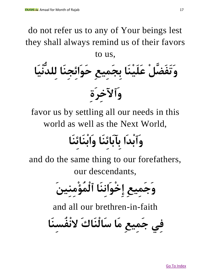do not refer us to any of Your beings lest they shall always remind us of their favors to us,

**وَتَفَضَّلْ عَلَيْنَا بِجَمِيعِ حَوَائِجِنَا لِلدُّنْيَا وَٱآلخِرَةِ**

favor us by settling all our needs in this world as well as the Next World,

### **وَٱبْدَا بِآبَائِنَا وَابْنَائِنَا**

and do the same thing to our forefathers, our descendants,

**وَجَمِيعِ إِخْوَانِنَا ٱلْمُؤْمِنِينَ**

and all our brethren-in-faith

**فِي جَمِيعِ مَا سَالْنَاكَ النْفُسِنَا**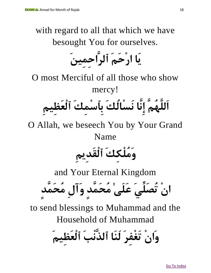with regard to all that which we have besought You for ourselves.

**يَا ارْحَمَ ٱلرَّاحِمِينَ**

O most Merciful of all those who show mercy!

**اَللَّهُمَّ إِنَّا نَسْالُكَ بِٱسْمِكَ ٱلْعَظِيمِ**

O Allah, we beseech You by Your Grand Name

**وَمُلْكِكَ ٱلْقَدِيمِ**

and Your Eternal Kingdom

**انْ تُصَلِّيَ عَلَىٰ مُحَمَّدٍ وَآلِ مُحَمَّدٍ**

to send blessings to Muhammad and the Household of Muhammad

**وَانْ تَغْفِرَ لَنَا ٱلذَّنْبَ ٱلْعَظِيمَ**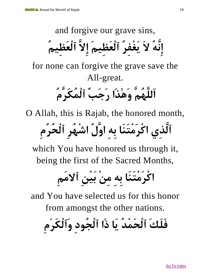and forgive our grave sins, **إِنَّهُ الَ يَغْفِرُ ٱلْعَظِيمَ إِالَّ ٱلْعَظِيمُ**  for none can forgive the grave save the All-great. **اَللَّهُمَّ وَهٰذَا رَجَبٌ ٱلْمُكَرَّمُ**

O Allah, this is Rajab, the honored month,

**ٱلَّذِي اكْرَمْتَنَا بِهِ اوَّلُ اشْهُرِ ٱلْحُرُمِ**

which You have honored us through it, being the first of the Sacred Months,

**اكْرَمْتَنَا بِهِ مِنْ بَيْنِ ٱالمَمِ**

and You have selected us for this honor from amongst the other nations.

**فَلَكَ ٱلْحَمْدُ يَا ذَا ٱلْجُودِ وَٱلْكَرَمِ**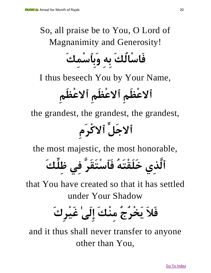#### So, all praise be to You, O Lord of Magnanimity and Generosity!  $\circ$  and  $\circ$  and  $\circ$

**فَاسْالُكَ بِهِ وَبِٱسْمِكَ**

I thus beseech You by Your Name,

**ٱالعْظَمِ ٱالعْظَمِ ٱالعْظَمِ**

the grandest, the grandest, the grandest, **ٱالجَلِّ ٱالكْرَمِ**

the most majestic, the most honorable,

**ٱلَّذِي خَلَقْتَهُ فَٱسْتَقَرَّ فِي ظِلِّ كَ**

that You have created so that it has settled under Your Shadow

**فَالَ يَخْرُجُ مِنْكَ إِلَىٰ غَيْرِكَ** 

and it thus shall never transfer to anyone other than You,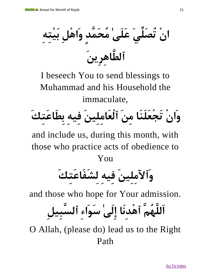**انْ تُصَلِّيَ عَلَىٰ مُحَمَّدٍ وَاهْلِ بَيْتِهِ ٱلطَّاهِرِينَ** 

I beseech You to send blessings to Muhammad and his Household the immaculate,

**وَانْ تَجْعَلَنَا مِنَ ٱلْعَامِلِينَ فِيهِ بِطَاعَتِكَ** 

and include us, during this month, with those who practice acts of obedience to You

# **وَٱآلمِلِينَ فِيهِ لِشَفَاعَتِكَ**

and those who hope for Your admission.

**اَللَّهُمَّ ٱهْدِنَ ا إِلَىٰ سَوَاءِ ٱلسَّبِيلِ** 

O Allah, (please do) lead us to the Right Path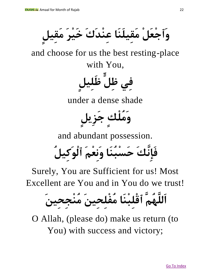**وَٱجْعَلْ مَقِيلَنَا عِنْدَكَ خَيْرَ مَقِيلٍ** 

and choose for us the best resting-place with You,

**فِي ظِلٍّ ظَلِيلٍ** 

under a dense shade

**وَمُلْكٍ جَزِيلٍ**

and abundant possession.

**فَإِنَّكَ حَسْبُنَا وَنِعْمَ ٱلْوَكِيلُ** 

Surely, You are Sufficient for us! Most Excellent are You and in You do we trust!

**اَللَّهُمَّ ٱقْلِبْنَا مُفْلِحِينَ مُنْجِحِينَ**

O Allah, (please do) make us return (to You) with success and victory;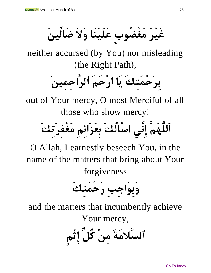**غَيْرَ مَغْضُوبٍ عَلَيْنَا وَالَ ضَالِّينَ** 

neither accursed (by You) nor misleading (the Right Path),

**بِرَحْمَتِكَ يَا ارْحَمَ ٱلرَّاحِمِينَ**

out of Your mercy, O most Merciful of all those who show mercy!

**اَللَّهُمَّ إِنِّي اسْالُكَ بِعَزَائِمِ مَغْفِرَتِكَ**

O Allah, I earnestly beseech You, in the name of the matters that bring about Your forgiveness

**وَبِوَاجِبِ رَحْمَتِكَ**

and the matters that incumbently achieve

Your mercy,

**ٱلسَّالمَةَ مِنْ كُلِّ إِثْمٍ**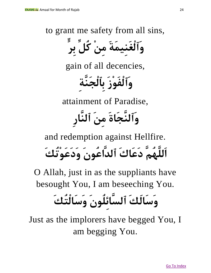to grant me safety from all sins,

**وَٱلْغَنِيمَةَ مِنْ كُلِّ بِرٍّ** 

gain of all decencies,

**وَٱلْفَوْزَ بِٱلْجَنَّةِ** 

attainment of Paradise,

**وَٱلنَّجَاةَ مِنَ ٱلنَّارِ**

and redemption against Hellfire.

**اَللَّهُمَّ دَعَاكَ ٱلدَّاعُونَ وَدَعَوْتُكَ**

O Allah, just in as the suppliants have besought You, I am beseeching You.

### **وَسَالَكَ ٱلسَّائِلُونَ وَسَالْتُكَ**

Just as the implorers have begged You, I am begging You.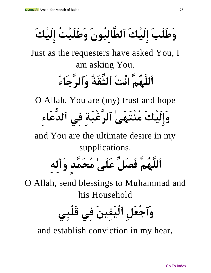**وَطَلَبَ إِلَيْكَ ٱلطَّالِبُونَ وَطَلَبْتُ إِلَيْكَ** 

Just as the requesters have asked You, I am asking You.

### **اَللَّهُمَّ انْتَ ٱلثِّقَةُ وَٱلرَّ جَاءُ**

O Allah, You are (my) trust and hope

**وَإِلَيْكَ مُنْتَهَىٰ ٱلرَّغْبَةِ فِي ٱلدُّعَاءِ**

and You are the ultimate desire in my supplications.

**اَللَّهُمَّ فَصَلِّ عَلَىٰ مُحَمَّدٍ وَآلِهِ**

O Allah, send blessings to Muhammad and his Household

**وَٱجْعَلِ ٱلْيَقِينَ فِي قَلْبِي**

and establish conviction in my hear,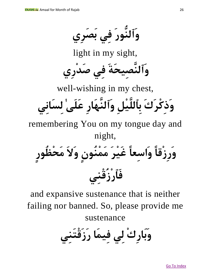**وَٱلنُّورَ فِي بَصَرِي** light in my sight, **وَٱلنَّصِيحَةَ فِي صَدْرِي** well-wishing in my chest, **وَذِكْرَكَ بِٱللَّيْلِ وَٱلنَّهَارِ عَلَىٰ لِسَانِي** remembering You on my tongue day and night, **وَرِزْقًا وَاسِعًا غَيْرَ مَمْنُونٍ وَالَ مَحْظُورٍ فَٱرْزُقْنِي**

and expansive sustenance that is neither failing nor banned. So, please provide me sustenance

**وَبَارِكْ لِي فِيمَا رَزَقْتَنِي**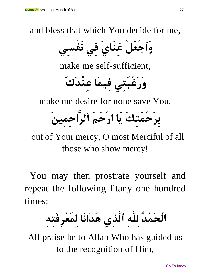and bless that which You decide for me,

**وَٱجْعَلْ غِنَايَ فِي نَفْسِي**

make me self-sufficient,

**وَرَغْبَتِي فِيمَا عِنْدَكَ**

make me desire for none save You,

**بِرَحْمَتِكَ يَا ارْحَمَ ٱلرَّاحِمِينَ**

out of Your mercy, O most Merciful of all those who show mercy!

You may then prostrate yourself and repeat the following litany one hundred times:

**الْحَمْدُ لِلَّهِ ٱلَّذِي هَدَانَا لِمَعْرِفَتِهِ**

All praise be to Allah Who has guided us to the recognition of Him,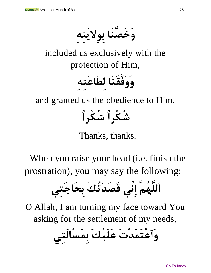**وَخَصَّنَا بِوِاليَتِهِ** 

included us exclusively with the protection of Him,

## **وَوَفَّقَنَا لِطَاعَتِهِ**

and granted us the obedience to Him.

**شُكْرًا شُكْرًا**

#### Thanks, thanks.

When you raise your head (i.e. finish the prostration), you may say the following:

**اَللَّهُمَّ إِنِّي قَصَدْتُكَ بِحَاجَتِي**

O Allah, I am turning my face toward You asking for the settlement of my needs,

**وَٱعْتَمَدْتُ عَلَيْكَ بِمَسْالَتِي**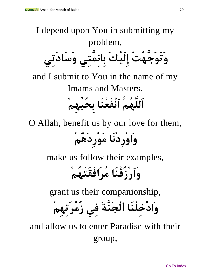#### I depend upon You in submitting my problem, **وَتَوَجَّهْتُ إِلَيْكَ بِائِمَّتِي وَسَادَتِي** and I submit to You in the name of my Imams and Masters. **اَللَّهُمَّ ٱنْفَعْنَا بِحُبِّهِمْ**

O Allah, benefit us by our love for them,

**وَاوْرِدْنَا مَوْرِدَهُمْ**

make us follow their examples,

**وَٱرْزُقْنَا مُرَافَقَتَهُمْ**

grant us their companionship,

**وَادْخِلْنَا ٱلْجَنَّةَ فِي زُمْرَتِهِمْ**

and allow us to enter Paradise with their group,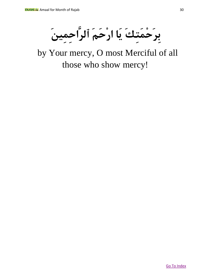**بِرَحْمَتِكَ يَا ارْحَمَ ٱلرَّاحِمِينَ**

by Your mercy, O most Merciful of all those who show mercy!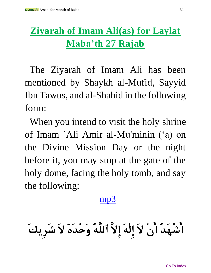#### <span id="page-30-0"></span>**Ziyarah of Imam Ali(as) for Laylat Maba'th 27 Rajab**

The Ziyarah of Imam Ali has been mentioned by Shaykh al-Mufid, Sayyid Ibn Tawus, and al-Shahid in the following form:

When you intend to visit the holy shrine of Imam `Ali Amir al-Mu'minin ('a) on the Divine Mission Day or the night before it, you may stop at the gate of the holy dome, facing the holy tomb, and say the following:

#### [mp3](http://mp3.duas.org/Rajabamal/ziaratimamalirajab27.mp3)

**اشْهَدُ انْ الَ إِلٰهَ إِالَّ ٱللَّهُ وَحْدَهُ الَ شَرِيكَ**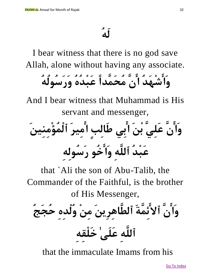I bear witness that there is no god save Allah, alone without having any associate.

**وَاشْهَدُ انَّ مُحَمَّدًا عَبْدُهُ وَرَسُولُهُ** 

And I bear witness that Muhammad is His servant and messenger,

**وَانَّ عَلِيَّ بْنَ ابِي طَالِبٍ امِيرَ ٱلْمُؤْمِنِينَ عَبْدُ ٱللَّهِ وَاخُو رَسُولِهِ**

that `Ali the son of Abu-Talib, the Commander of the Faithful, is the brother of His Messenger,

**وَانَّ ٱالئِمَّةَ ٱلطَّاهِرِينَ مِنْ وُلْدِهِ حُجَجُ ٱللَّهِ عَلَىٰ خَلْقِهِ**

that the immaculate Imams from his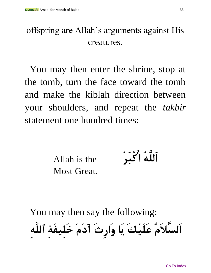#### offspring are Allah's arguments against His creatures.

You may then enter the shrine, stop at the tomb, turn the face toward the tomb and make the kiblah direction between your shoulders, and repeat the *takbir* statement one hundred times:

Allah is the Most Great. **اَللَّهُ اكْبَرُ**

You may then say the following: **اَلسَّالَمُ عَلَيْكَ يَا وَارِثَ آدَمَ خَلِيفَةِ ٱللَّهِ**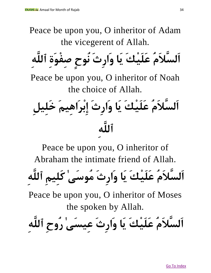Peace be upon you, O inheritor of Adam the vicegerent of Allah. **اَلسَّالَمُ عَلَيْكَ يَا وَارِثَ نُوحٍ صِفْوَةِ ٱللَّهِ** Peace be upon you, O inheritor of Noah the choice of Allah. **اَلسَّالَمُ عَلَيْكَ يَا وَارِثَ إِبْرَاهِيمَ خَلِيلِ ٱللَّهِ**

Peace be upon you, O inheritor of Abraham the intimate friend of Allah. **اَلسَّالَمُ عَلَيْكَ يَا وَارِثَ مُوسَىٰ كَلِيمِ ٱللَّهِ** Peace be upon you, O inheritor of Moses the spoken by Allah. **اَلسَّالَمُ عَلَيْكَ يَا وَارِثَ عِيسَىٰ رُوحِ ٱللَّهِ**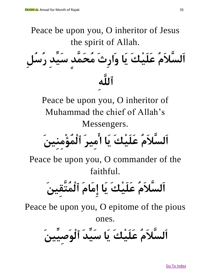Peace be upon you, O inheritor of Jesus the spirit of Allah. **اَلسَّالَمُ عَلَيْكَ يَا وَارِثَ مُحَمَّدٍ سَيِّدِ رُسُلِ ٱللَّهِ**

Peace be upon you, O inheritor of Muhammad the chief of Allah's Messengers.

**اَلسَّالَمُ عَلَيْكَ يَا امِيرَ ٱلْمُؤْمِنِينَ**

Peace be upon you, O commander of the faithful.

# **اَلسَّالَمُ عَلَيْكَ يَا إِمَامَ ٱلْمُتَّقِينَ**

Peace be upon you, O epitome of the pious

ones.

**اَلسَّالَمُ عَلَيْكَ يَا سَيِّ دَ ٱلْوَصِيِّينَ**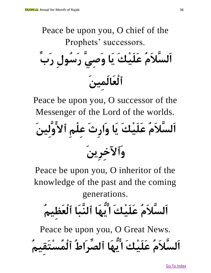Peace be upon you, O chief of the Prophets' successors. **اَلسَّالَمُ عَلَيْكَ يَا وَصِيَّ رَسُولِ رَبِّ ٱلْعَالَمِينَ**

Peace be upon you, O successor of the Messenger of the Lord of the worlds.

**اَلسَّالَمُ عَلَيْكَ يَا وَارِثَ عِلْمِ ٱالوَّلِينَ وَٱآلخِرِينَ**

Peace be upon you, O inheritor of the knowledge of the past and the coming generations.

**اَلسَّالَمُ عَلَيْكَ ايُّهَا ٱلنَّبَا ٱلْعَظِيمُ**

Peace be upon you, O Great News. **اَلسَّالَمُ عَلَيْكَ ايُّهَا ٱلصِّرَاطُ ٱلْمُسْتَقِيمُ**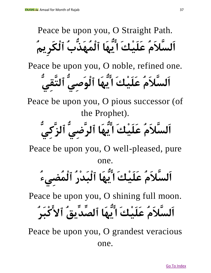Peace be upon you, O Straight Path. **اَلسَّالَمُ عَلَيْكَ ايُّهَا ٱلْمُهَذُّبُ ٱلْكَرِيمُ**

Peace be upon you, O noble, refined one.

**اَلسَّالَمُ عَلَيْكَ ايُّهَا ٱلْوَصِيُّ ٱلتَّقِيُّ**

Peace be upon you, O pious successor (of the Prophet).

**اَلسَّالَمُ عَلَيْكَ ايُّهَا ٱلرَّضِيُّ ٱلزَّكِيُّ**

Peace be upon you, O well-pleased, pure

one.

**اَلسَّالَمُ عَلَيْكَ ايُّهَا ٱلْبَدْرُ ٱلْمُضِيءُ** 

Peace be upon you, O shining full moon.

**اَلسَّالَمُ عَلَيْكَ ايُّهَا ٱلصِّدِّيقُ ٱالكْبَرُ**

Peace be upon you, O grandest veracious one.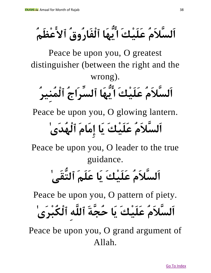**اَلسَّالَمُ عَلَيْكَ ايُّهَا ٱلْفَارُوقُ ٱالعْظَمُ** 

Peace be upon you, O greatest distinguisher (between the right and the wrong).

**اَلسَّالَمُ عَلَيْكَ ايُّهَا ٱلسِّرَاجُ ٱلْمُنِيرُ** 

Peace be upon you, O glowing lantern.

### **اَلسَّالَمُ عَلَيْكَ يَا إِمَامَ ٱلْهُدَىٰ**

Peace be upon you, O leader to the true guidance.

### **اَلسَّالَمُ عَلَيْكَ يَا عَلَمَ ٱلتُّقَىٰ**

Peace be upon you, O pattern of piety.

**اَلسَّالَمُ عَلَيْكَ يَا حُجَّ ةَ ٱللَّهِ ٱلْكُبْرَىٰ**

Peace be upon you, O grand argument of Allah.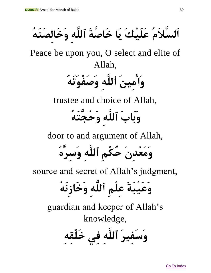**اَلسَّالَمُ عَلَيْكَ يَا خَاصَّةَ ٱللَّهِ وَخَالِصَتَهُ** 

Peace be upon you, O select and elite of Allah,

**وَامِينَ ٱللَّهِ وَصَفْوَتَهُ** 

trustee and choice of Allah,

**وَبَابَ ٱللَّهِ وَحُجَّتَهُ** 

door to and argument of Allah,

**وَمَعْدِنَ حُكْمِ ٱللَّهِ وَسِرَّهُ** 

source and secret of Allah's judgment,

**وَعَيْبَةَ عِلْمِ ٱللَّهِ وَخَازِنَهُ**

guardian and keeper of Allah's knowledge,

**وَسَفِيرَ ٱللَّهِ فِي خَلْقِهِ**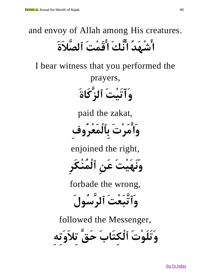#### and envoy of Allah among His creatures. **اشْهَدُ انَّ كَ اقَمْتَ ٱلصَّالَةَ**

I bear witness that you performed the prayers, **وَآتَيْتَ ٱلزَّكَاةَ** paid the zakat, **وَامَرْتَ بِٱلْمَعْرُوفِ**

enjoined the right,

**وَنَهَيْتَ عَنِ ٱلْمُنْكَرِ**

forbade the wrong,

**وَٱتَّبَعْتَ ٱلرَّسُولَ**

followed the Messenger,

**وَتَلَوْتَ ٱلْكِتَابَ حَقَّ تِالَوَتِهِ**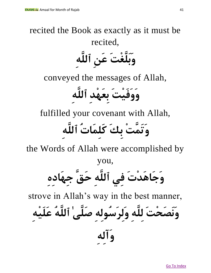#### recited the Book as exactly as it must be recited, **وَبَلَّغْتَ عَنِ ٱللَّهِ** conveyed the messages of Allah,

**وَوَفَيْتَ بِعَهْدِ ٱللَّهِ**

fulfilled your covenant with Allah,

### **وَتَمَّتْ بِكَ كَلِمَاتُ ٱللَّهِ**

the Words of Allah were accomplished by

you,

**وَجَاهَدْتَ فِي ٱللَّهِ حَقَّ جِهَادِهِ** 

strove in Allah's way in the best manner,

**وَنَصَحْتَ لِلَّهِ وَلِرَسُولِهِ صَلَّىٰ ٱللَّهُ عَلَيْهِ** 

**وَآلِهِ**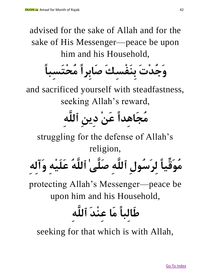advised for the sake of Allah and for the sake of His Messenger—peace be upon him and his Household,

**وَجُدْتَ بِنَفْسِكَ صَابِرًا مُحْتَسِبًا**

and sacrificed yourself with steadfastness, seeking Allah's reward,

### **مُجَاهِدًا عَنْ دِينِ ٱللَّهِ**

struggling for the defense of Allah's religion,

**مُوَقِّيًا لِرَسُولِ ٱللَّهِ صَلَّىٰ ٱللَّهُ عَلَيْهِ وَآلِهِ** 

protecting Allah's Messenger—peace be upon him and his Household,

### **طَالِبًا مَا عِنْدَ ٱللَّهِ**

seeking for that which is with Allah,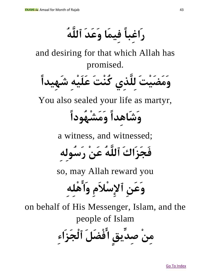**رَاغِبًا فِيمَا وَعَدَ ٱللَّهُ**

and desiring for that which Allah has promised.



You also sealed your life as martyr,

#### **وَشَاهِدًا وَمَشْهُودًا**

a witness, and witnessed;

**فَجَزَاكَ ٱللَّهُ عَنْ رَسُولِهِ** 

so, may Allah reward you

**وَعَنِ ٱإلِسْالَمِ وَاهْلِهِ**

on behalf of His Messenger, Islam, and the people of Islam

**مِنْ صِدِّيقٍ افْضَلَ ٱلْجَزَاءِ**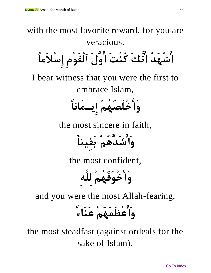with the most favorite reward, for you are veracious. **اشْهَدُ انَّكَ كُنْتَ اوَّلَ ٱلْقَوْمِ إِسْالَمًا** I bear witness that you were the first to embrace Islam, **وَاخْلَصَهُمْ إِيـمَانًا** the most sincere in faith, **وَاشَدَّهُمْ يَقِينًا** the most confident, **وَاخْوَفَهُمْ لِلَّهِ** and you were the most Allah-fearing, **وَاعْظَمَهُمْ عَنَاء**  the most steadfast (against ordeals for the sake of Islam),

Go To Index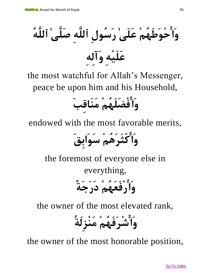**وَاحْوَطَهُمْ عَلَىٰ رَسُولِ ٱللَّهِ صَلَّىٰ ٱللَّهُ عَلَيْهِ وَآلِهِ** 

the most watchful for Allah's Messenger, peace be upon him and his Household,

**وَافْضَلَهُمْ مَنَاقِبَ**

endowed with the most favorable merits,

**وَاكْثَرَهُمْ سَوَابِقَ** 

the foremost of everyone else in everything, **وَارْفَعَهُمْ دَرَجَة** 

the owner of the most elevated rank,

**وَاشْرَفَهُمْ مَنْزِلَة** 

the owner of the most honorable position,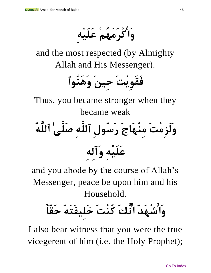**وَاكْرَمَهُمْ عَلَيْهِ**

and the most respected (by Almighty Allah and His Messenger).



Thus, you became stronger when they became weak

**وَلَزِمْتَ مِنْهَاجَ رَسُولِ ٱللَّهِ صَلَّىٰ ٱللَّهُ عَلَيْهِ وَآلِهِ** 

and you abode by the course of Allah's Messenger, peace be upon him and his Household.

### **وَاشْهَدُ انَّكَ كُنْتَ خَلِيفَتَهُ حَقًّا**

I also bear witness that you were the true vicegerent of him (i.e. the Holy Prophet);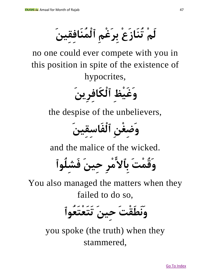**لَمْ تُنَازَعْ بِرَغْمِ ٱلْمُنَافِقِينَ**

no one could ever compete with you in this position in spite of the existence of hypocrites,

**وَغَيْظِ ٱلْكَافِرِينَ**

the despise of the unbelievers,

**وَضِغْنِ ٱلْفَاسِقِينَ**

and the malice of the wicked.

**وَقُمْتَ بِٱالمْرِ حِينَ فَشِلُوٱ**

You also managed the matters when they failed to do so,



you spoke (the truth) when they stammered,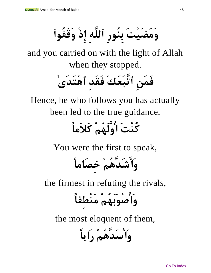**وَمَضَيْتَ بِنُورِ ٱللَّهِ إِذْ وَقَفُوٱ**

and you carried on with the light of Allah when they stopped.

**فَمَنِ ٱتَّبَعَكَ فَقَدِ ٱهْتَدَىٰ**

Hence, he who follows you has actually been led to the true guidance.

#### **كُنْتَ اوَّلَهُمْ كَالَمًا**

You were the first to speak,

**وَاشَدَّهُمْ خِصَامًا**

the firmest in refuting the rivals,

**وَاصْوَبَهُمْ مَنْطِقًا**

the most eloquent of them,

**وَاسَدَّهُمْ رَايًا**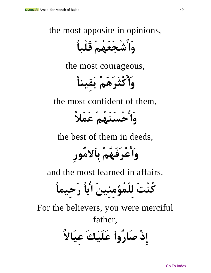the most apposite in opinions,

**وَاشْجَعَهُمْ قَلْبًا**

the most courageous,

**وَاكْثَرَهُمْ يَقِينًا**

the most confident of them,

**وَاحْسَنَهُمْ عَمَال** 

the best of them in deeds,

**وَاعْرَفَهُمْ بِٱالمُورِ**

and the most learned in affairs.

**كُنْتَ لِلْمُؤمِنِينَ ابًا رَحِيمًا**

For the believers, you were merciful father, إِذْ صَارُواْ عَلَيْكَ عِيَالاً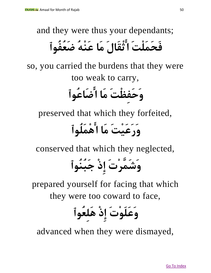and they were thus your dependants;

#### **فَحَمَلْتَ اثْقَالَ مَا عَنْهُ ضَعُفُوٱ**

so, you carried the burdens that they were too weak to carry,

**وَحَفِظْتَ مَا اضَاعُوٱ**

preserved that which they forfeited,

#### **وَرَعَيْتَ مَا اهْمَلُوٱ**

conserved that which they neglected,

**وَشَمَّرْتَ إِذْ جَبُنُوٱ**

prepared yourself for facing that which they were too coward to face,

**وَعَلَوْتَ إِذْ هَلِعُوٱ**

advanced when they were dismayed,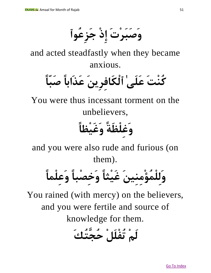**وَصَبَرْتَ إِذْ جَزِعُوٱ**

and acted steadfastly when they became anxious.

**كُنْتَ عَلَىٰ ٱلْكَافِرِينَ عَذَابًا صَبًّا**

You were thus incessant torment on the unbelievers,

### **وَغِلْظَة وَغَيْظًا**

and you were also rude and furious (on them).

**وَلِلْمُؤْمِنِينَ غَيْثًا وَخِصْبًا وَعِلْمًا**

You rained (with mercy) on the believers, and you were fertile and source of knowledge for them.

**لَمْ تُفْلَلْ حُجَّتُكَ**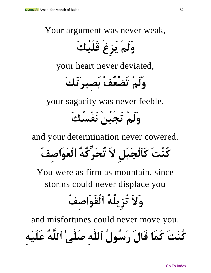Your argument was never weak,

**وَلَمْ يَزِغْ قَلْبُكَ**

your heart never deviated,

**وَلَمْ تَضْعُفْ بَصِيرَتُكَ**

your sagacity was never feeble,

#### **وَلَمْ تَجْبُنْ نَفْسُكَ**

and your determination never cowered.

**كُنْتَ كَٱلْجَبَلِ الَ تُحَرِّكُهُ ٱلْعَوَاصِفُ**

You were as firm as mountain, since storms could never displace you

#### **وَالَ تُزِيلُهُ ٱلْقَوَاصِفُ**

and misfortunes could never move you. **كُنْتَ كَمَا قَالَ رَسُولُ ٱللَّهِ صَلَّىٰ ٱللَّهُ عَلَيْهِ**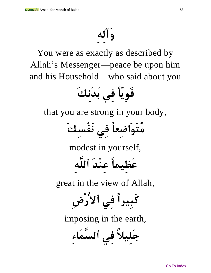### **وَآلِهِ**

You were as exactly as described by Allah's Messenger—peace be upon him and his Household—who said about you

**قَوِيًّا فِي بَدَنِكَ**

that you are strong in your body,

**مُتَوَاضِعًا فِي نَفْسِكَ**

modest in yourself,

**عَظِيمًا عِنْدَ ٱللَّهِ**

great in the view of Allah,

**كَبِيرًا فِي ٱالرْضِ** 

imposing in the earth,

**جَلِيال فِي ٱلسَّمَاءِ**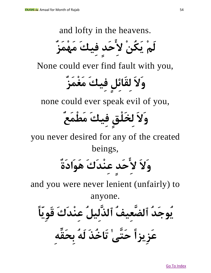and lofty in the heavens.

**لَمْ يَكُنْ الِحَدٍ فِيكَ مَهْمَزٌ**

None could ever find fault with you,

**وَالَ لِقَائِلٍ فِيكَ مَغْمَزٌ** 

none could ever speak evil of you,

### **وَالَ لِخَلْقٍ فِيكَ مَطْمَعٌ**

you never desired for any of the created beings,

**وَالَ الِحَدٍ عِنْدَكَ هَوَادَةٌ** 

and you were never lenient (unfairly) to

anyone.

**يُوجَدُ ٱلضَّعِيفُ ٱلذَّلِيلُ عِنْدَكَ قَوِيًّا** 

**عَزِيزًا حَتَّىٰ تَاخُذَ لَهُ بِحَقِّهِ**

Go To Index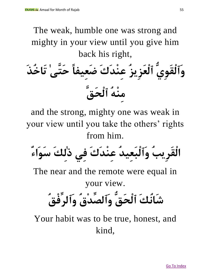The weak, humble one was strong and mighty in your view until you give him back his right, **وَٱلْقَوِيُّ ٱلْعَزِيزُ عِنْدَكَ ضَعِيفًا حَتَّىٰ تَاخُذَ مِنْهُ ٱلْحَقَّ**

and the strong, mighty one was weak in your view until you take the others' rights from him.

**الْقَرِيبُ وَٱلْبَعِيدُ عِنْدَكَ فِي ذٰلِكَ سَوَاءٌ**

The near and the remote were equal in your view.

### **شَانُكَ ٱلْحَقُّ وَٱلصِّدْقُ وَٱلرِّفْقُ**

Your habit was to be true, honest, and kind,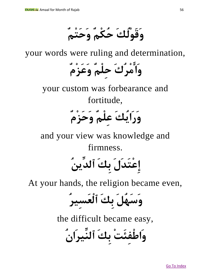**وَقَوْلُكَ حُكْمٌ وَحَتْمٌ**

your words were ruling and determination,

**وَامْرُكَ حِلْمٌ وَعَزْمٌ**

your custom was forbearance and fortitude,

#### **وَرَايُكَ عِلْمٌ وَحَزْمٌ**

and your view was knowledge and firmness.

**إِعْتَدَلَ بِكَ ٱلدِّينُ**

At your hands, the religion became even,

**وَسَهُلَ بِكَ ٱلْعَسِيرُ**

the difficult became easy,

**وَاطْفِئَتْ بِكَ ٱلنِّيرَانُ**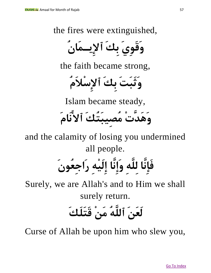the fires were extinguished,

**وَقَوِيَ بِكَ ٱإلِيـمَانُ**

the faith became strong,

**وَثَبَتَ بِكَ ٱإلِسْالَمُ**

Islam became steady,

**وَهَدَّتْ مُصِيبَتُكَ ٱالنَامَ**

and the calamity of losing you undermined all people.

# **فَإِنَّا لِلَّهِ وَإِنَّا إِلَيْهِ رَاجِعُونَ**

Surely, we are Allah's and to Him we shall surely return.

#### **لَعَنَ ٱللَّهُ مَنْ قَتَلَكَ**

Curse of Allah be upon him who slew you,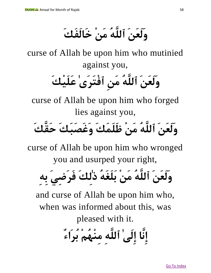**وَلَعَنَ ٱللَّهُ مَنْ خَالَفَكَ**

curse of Allah be upon him who mutinied against you,

### **وَلَعَنَ ٱللَّهُ مَنِ ٱفْتَرَىٰ عَلَيْكَ**

curse of Allah be upon him who forged lies against you,

#### **وَلَعَنَ ٱللَّهُ مَنْ ظَلَمَكَ وَغَصَبَكَ حَقَّكَ**

curse of Allah be upon him who wronged you and usurped your right,

**وَلَعَنَ ٱللَّهُ مَنْ بَلَغَهُ ذٰلِكَ فَرَضِيَ بِهِ**

and curse of Allah be upon him who, when was informed about this, was pleased with it.

**إِنَّا إِلَىٰ ٱللَّهِ مِنْهُمْ بُرَاءٌ**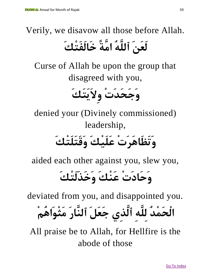#### Verily, we disavow all those before Allah. **لَعَنَ ٱللَّهُ امَّ ة خَالَفَتْكَ**

Curse of Allah be upon the group that disagreed with you,

**وَجَحَدَتْ وِالَيَتَكَ** 

denied your (Divinely commissioned) leadership,

**وَتَظَاهَرَتْ عَلَيْكَ وَقَتَلَتْكَ**

aided each other against you, slew you,

#### **وَحَادَتْ عَنْكَ وَخَذَلَتْكَ**

deviated from you, and disappointed you.

## **الْحَمْدُ لِلَّهِ ٱلَّذِي جَعَلَ ٱلنَّارَ مَثْوَاهُمْ**

All praise be to Allah, for Hellfire is the abode of those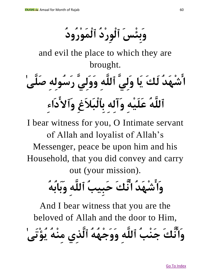**وَبِئْسَ ٱلْوِرْدُ ٱلْمَوْرُودُ**

and evil the place to which they are brought.

# **اشْهَدُ لَكَ يَا وَلِيَّ ٱللَّهِ وَوَلِيَّ رَسُولِهِ صَلَّىٰ ٱللَّهُ عَلَيْهِ وَآلِهِ بِٱلْبَالَغِ وَٱالدَاءِ**

I bear witness for you, O Intimate servant of Allah and loyalist of Allah's Messenger, peace be upon him and his Household, that you did convey and carry out (your mission).

**وَاشْهَدُ انَّكَ حَبِيبُ ٱللَّهِ وَبَابُهُ**

And I bear witness that you are the beloved of Allah and the door to Him,

**وَانَّكَ جَنْبُ ٱللَّهِ وَوَجْهُهُ ٱلَّذِي مِنْهُ يُؤْتَىٰ**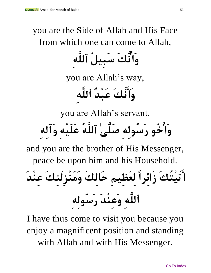you are the Side of Allah and His Face from which one can come to Allah,

**وَانَّكَ سَبِيلُ ٱللَّهِ**

you are Allah's way,

**وَانَّكَ عَبْدُ ٱللَّهِ**

you are Allah's servant,

**وَاخُو رَسُولِهِ صَلَّىٰ ٱللَّهُ عَلَيْهِ وَآلِهِ**

and you are the brother of His Messenger,

peace be upon him and his Household.

**اتَيْتُكَ زَائِرًا لِعَظِيمِ حَالِكَ وَمَنْزِلَتِكَ عِنْدَ ٱللَّهِ وَعِنْدَ رَسُولِهِ** 

I have thus come to visit you because you enjoy a magnificent position and standing with Allah and with His Messenger.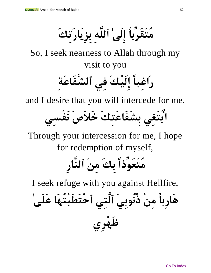**مُتَقَرِّبًا إِلَىٰ ٱللَّهِ بِزِيَارَتِكَ**

So, I seek nearness to Allah through my visit to you

**رَاغِبًا إِلَيْكَ فِي ٱلشَّفَاعَةِ** 

and I desire that you will intercede for me.

**ابْتَغِي بِشَفَاعَتِكَ خَالَ صَ نَفْسِي**

Through your intercession for me, I hope for redemption of myself,

## **مُتَعَوِّذًا بِكَ مِنَ ٱلنَّارِ**

I seek refuge with you against Hellfire,

**هَارِبًا مِنْ ذُنُوبِيَ ٱلَّتِي ٱحْتَطَبْتُهَا عَلَىٰ ظَهْرِي**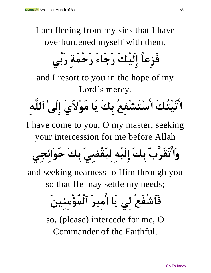I am fleeing from my sins that I have overburdened myself with them,

**فَزِعًا إِلَيْكَ رَجَاءَ رَحْمَةِ رَبِّي**

and I resort to you in the hope of my Lord's mercy.

**اتَيْتُكَ اسْتَشْفِعُ بِكَ يَا مَوْالَيَ إِلَىٰ ٱللَّهِ** 

I have come to you, O my master, seeking your intercession for me before Allah

**وَاتَقَرَّبُ بِكَ إِلَيْهِ لِيَقْضِيَ بِكَ حَوَائِجِي**

and seeking nearness to Him through you so that He may settle my needs;

**فَٱشْفَعْ لِي يَا امِيرَ ٱلْمُؤْمِنِينَ**

so, (please) intercede for me, O Commander of the Faithful.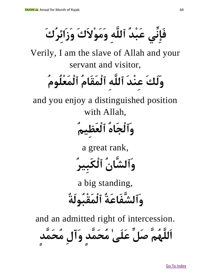**فَإِنِّي عَبْدُ ٱللَّهِ وَمَوْالَكَ وَزَائِرُكَ**

Verily, I am the slave of Allah and your servant and visitor,

### **وَلَكَ عِنْدَ ٱللَّهِ ٱلْمَقَامُ ٱلْمَعْلُومُ**

and you enjoy a distinguished position with Allah,

#### **وَٱلْجَاهُ ٱلْعَظِيمُ**

a great rank,

**وَٱلشَّانُ ٱلْكَبِيرُ** 

a big standing, **وَٱلشَّفَاعَةُ ٱلْمَقْبُولَةُ** 

and an admitted right of intercession.

**اَللَّهُمَّ صَلِّ عَلَىٰ مُحَمَّدٍ وَآلِ مُحَمَّدٍ**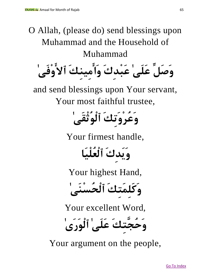Go To Index O Allah, (please do) send blessings upon Muhammad and the Household of Muhammad **وَصَلِّ عَلَىٰ عَبْدِكَ وَامِينِكَ ٱالوْفَىٰ**  and send blessings upon Your servant, Your most faithful trustee, **وَعُرْوَتِكَ ٱلْوُثْقَىٰ**  Your firmest handle, **وَيَدِكَ ٱلْعُلْيَا** Your highest Hand, **وَكَلِمَتِكَ ٱلْحُسْنَىٰ**  Your excellent Word, **وَحُجَّتِكَ عَلَىٰ ٱلْوَرَىٰ** Your argument on the people,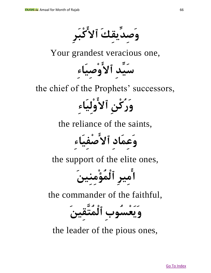**وَصِدِّيقِكَ ٱالكْبَرِ** 

Your grandest veracious one,

**سَيِّدِ ٱالوْصِيَاءِ** 

the chief of the Prophets' successors,

**وَرُكْنِ ٱالوْلِيَاءِ** 

the reliance of the saints,

**وَعِمَادِ ٱالصْفِيَاءِ** 

the support of the elite ones,

**امِيرِ ٱلْمُؤْمِنِينَ**

the commander of the faithful,

**وَيَعْسُوبِ ٱلْمُتَّقِينَ** 

the leader of the pious ones,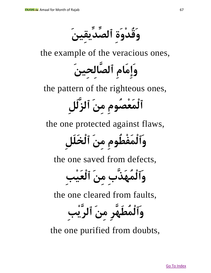**وَقُدْوَةِ ٱلصِّدِّيقِينَ**

the example of the veracious ones,

**وَإِمَامِ ٱلصَّالِحِينَ** 

the pattern of the righteous ones,

**ٱلْمَعْصُومِ مِنَ ٱلزَّلَلِ** 

the one protected against flaws,

**وَٱلْمَفْطُومِ مِنَ ٱلْخَلَلِ**

the one saved from defects,

**وَٱلْمُهَذَّبِ مِنَ ٱلْعَيْبِ** 

the one cleared from faults,

**وَٱلْمُطَهَّرِ مِنَ ٱلرَّيْبِ**

the one purified from doubts,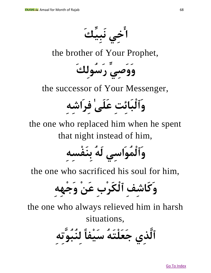

the brother of Your Prophet,



the successor of Your Messenger,

**وَٱلْبَائِتِ عَلَىٰ فِرَاشِهِ** 

the one who replaced him when he spent that night instead of him,

**وَٱلْمُوَاسِي لَهُ بِنَفْسِهِ**

the one who sacrificed his soul for him,

**وَكَاشِفِ ٱلْكَرْبِ عَنْ وَجْهِهِ** 

the one who always relieved him in harsh situations,

**ٱلَّذِي جَعَلْتَهُ سَيْفًا لِنُبُوَّتِهِ**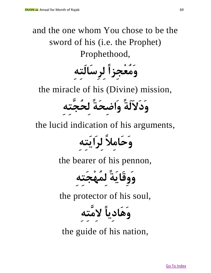#### and the one whom You chose to be the sword of his (i.e. the Prophet) Prophethood,



the miracle of his (Divine) mission,

**وَدَالَلَة وَاضِحَة لِحُجَّ تِهِ**

the lucid indication of his arguments,

**وَحَامِال لِرَايَتِهِ**

the bearer of his pennon,

**وَوِقَايَة لِمُهْجَتِهِ** 

the protector of his soul,

**وَهَادِيًا الِمَّتِهِ**

the guide of his nation,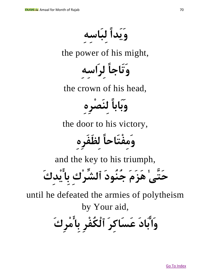**وَيَدًا لِبَاسِهِ**

the power of his might,

**وَتَاجًا لِرَاسِهِ**

the crown of his head,

**وَبَابًا لِنَصْرِهِ**

the door to his victory,

**وَمِفْتَاحًا لِظَفَرِهِ**

and the key to his triumph,

**حَتَّىٰ هَزَمَ جُنُودَ ٱلشِّ رْكِ بِايْدِكَ**

until he defeated the armies of polytheism by Your aid,

**وَابَادَ عَسَاكِرَ ٱلْكُفْرِ بِامْرِكَ**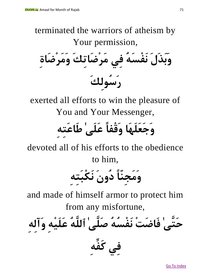terminated the warriors of atheism by Your permission, **وَبَذَلَ نَفْسَهُ فِي مَرْضَاتِكَ وَمَرْضَاةِ رَسُولِكَ** 

exerted all efforts to win the pleasure of You and Your Messenger,

### **وَجَعَلَهَا وَقْفًا عَلَىٰ طَاعَتِهِ**

devoted all of his efforts to the obedience to him,

**وَمَجِنًّا دُونَ نَكْبَتِهِ**

and made of himself armor to protect him from any misfortune,

**حَتَّىٰ فَاضَتْ نَفْسُهُ صَلَّىٰ ٱللَّهُ عَلَيْهِ وَآلِهِ** 

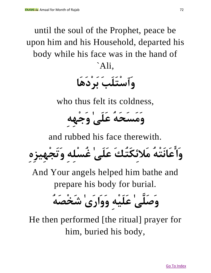until the soul of the Prophet, peace be upon him and his Household, departed his body while his face was in the hand of `Ali,

**وَٱسْتَلَبَ بَرْدَهَا**

who thus felt its coldness,

**وَمَسَحَهُ عَلَىٰ وَجْهِهِ**

and rubbed his face therewith.

**وَاعَانَتْهُ مَالئِكَتُكَ عَلَىٰ غُسْلِهِ وَتَجْهِيزِهِ**

And Your angels helped him bathe and prepare his body for burial.

**وَصَلَّىٰ عَلَيْهِ وَوَارَىٰ شَخْصَهُ**

He then performed [the ritual] prayer for him, buried his body,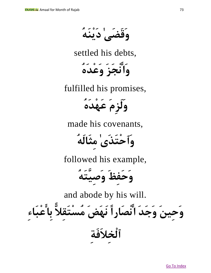**وَقَضَىٰ دَيْنَهُ**

settled his debts,

**وَانْجَزَ وَعْدَهُ** 

fulfilled his promises,

**وَلَزِمَ عَهْدَهُ**

made his covenants,

**وَٱحْتَذَىٰ مِثَالَهُ** 

followed his example,

**وَحَفِظَ وَصِيَّتَهُ** 

and abode by his will.

**وَحِينَ وَجَدَ انْصَارًا نَهَضَ مُسْتَقِالًّ بِاعْبَاءِ** 

**ٱلْخِالَفَةِ**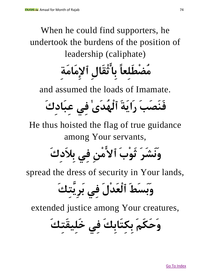### When he could find supporters, he undertook the burdens of the position of leadership (caliphate)

# **مُضْطَلِعًا بِاثْقَالِ ٱإلِمَامَةِ**

and assumed the loads of Imamate.

**فَنَصَبَ رَايَةَ ٱلْهُدَىٰ فِي عِبَادِكَ**

He thus hoisted the flag of true guidance among Your servants,

**وَنَشَرَ ثَوْبَ ٱالمْنِ فِي بِالَدِكَ** 

spread the dress of security in Your lands,

**وَبَسَطَ ٱلْعَدْلَ فِي بَرِيَّتِكَ**

extended justice among Your creatures,

**وَحَكَمَ بِكِتَابِكَ فِي خَلِيقَتِكَ**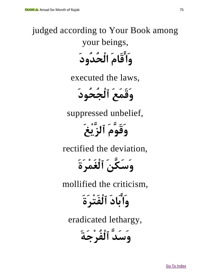### judged according to Your Book among your beings, **وَاقَامَ الْحُدُودَ**

executed the laws,

**وَقَمَعَ ٱلْجُحُودَ**

suppressed unbelief,

**وَقَوَّمَ ٱلزَّيْغَ**

rectified the deviation,

**وَسَكَّنَ ٱلْغَمْرَةَ** 

mollified the criticism,

**وَابَادَ ٱلْفَتْرَةَ**

eradicated lethargy,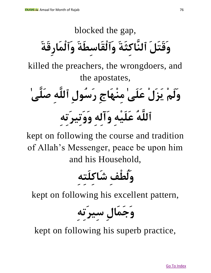### blocked the gap, **وَقَتَلَ ٱلنَّاكِثَةَ وَٱلْقَاسِطَةَ وَٱلْمَارِقَةَ** killed the preachers, the wrongdoers, and the apostates, **وَلَمْ يَزَلْ عَلَىٰ مِنْهَاجِ رَسُولِ ٱللَّهِ صَلَّىٰ ٱللَّهُ عَلَيْهِ وَآلِهِ وَوَتِيرَتِهِ**

kept on following the course and tradition of Allah's Messenger, peace be upon him and his Household,

## **وَلُطْفِ شَاكِلَتِهِ**

kept on following his excellent pattern,

**وَجَمَالِ سِيرَتِهِ**

kept on following his superb practice,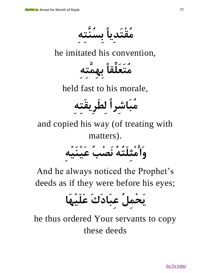**مُقْتَدِيًا بِسُنَّتِهِ** 

he imitated his convention,



held fast to his morale,

**مُبَاشِرًا لِطَرِيقَتِهِ**

and copied his way (of treating with matters).

**وَامْثِلَتُهُ نَصْبُ عَيْنَيْهِ**

And he always noticed the Prophet's deeds as if they were before his eyes;

## **يَحْمِلُ عِبَادَكَ عَلَيْهَا**

he thus ordered Your servants to copy these deeds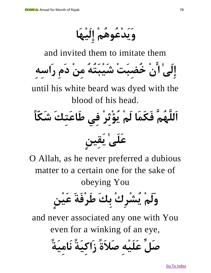**وَيَدْعُوهُمْ إِلَيْهَا**

and invited them to imitate them



until his white beard was dyed with the blood of his head.

**اَللَّهُمَّ فَكَمَا لَمْ يُؤْثِرْ فِي طَاعَتِكَ شَكًّا عَلَىٰ يَقِينٍ**

O Allah, as he never preferred a dubious matter to a certain one for the sake of obeying You

**وَلَمْ يُشْرِكْ بِكَ طَرْفَةَ عَيْنٍ**

and never associated any one with You even for a winking of an eye,

**صَلِّ عَلَيْهِ صَالَة زَاكِيَة نَامِيَة**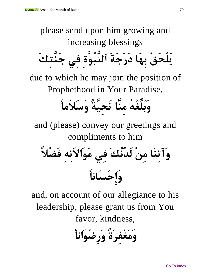please send upon him growing and increasing blessings **يَلْحَقُ بِهَا دَرَجَةَ ٱلنُّبُوَّةِ فِي جَنَّ تِكَ**

due to which he may join the position of Prophethood in Your Paradise,

## **وَبَلِّغْهُ مِنَّا تَحِيَّة وَسَالَمًا**

and (please) convey our greetings and compliments to him

**وَآتِنَا مِنْ لَدُنْكَ فِي مُوَاالَتِهِ فَضْال وَإِحْسَانًا**

and, on account of our allegiance to his leadership, please grant us from You favor, kindness,

**وَمَغْفِرَة وَرِضْوَانًا**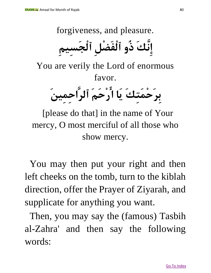forgiveness, and pleasure.

**إِنَّكَ ذُو ٱلْفَضْلِ ٱلْجَسِيمِ**

You are verily the Lord of enormous favor.

**بِرَحْمَتِكَ يَا ارْحَمَ ٱلرَّاحِمِينَ**

[please do that] in the name of Your mercy, O most merciful of all those who show mercy.

You may then put your right and then left cheeks on the tomb, turn to the kiblah direction, offer the Prayer of Ziyarah, and supplicate for anything you want.

Then, you may say the (famous) Tasbih al-Zahra' and then say the following words: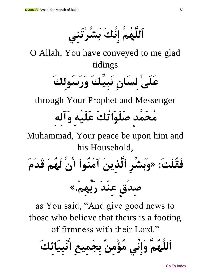**اَللَّهُمَّ إِنَّكَ بَشَّرْتَنِي**

O Allah, You have conveyed to me glad tidings

**عَلَىٰ لِسَانِ نَبِيِّكَ وَرَسُولِكَ** 

through Your Prophet and Messenger

# **مُحَمَّدٍ صَلَوَاتُكَ عَلَيْهِ وَآلِهِ**

Muhammad, Your peace be upon him and his Household,

**فَقُلْت:َ »وَبَشِّرِ ٱلَّذِينَ آمَنُوٱ انَّ لَهُمْ قَدَمَ** 

**صِدْقٍ عِنْدَ رَبِّهِم.ْ«**

as You said, "And give good news to those who believe that theirs is a footing of firmness with their Lord."

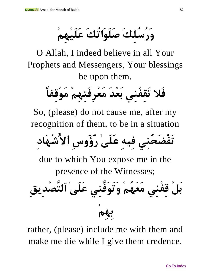**وَرُسُلِكَ صَلَوَاتُكَ عَلَيْهِمْ**

O Allah, I indeed believe in all Your Prophets and Messengers, Your blessings be upon them.

**فَال تَقِفْنِي بَعْدَ مَعْرِفَتِهِمْ مَوْقِفًا**

So, (please) do not cause me, after my recognition of them, to be in a situation

**تَفْضَحُنِي فِيهِ عَلَىٰ رُؤُوسِ ٱالشْهَادِ**

due to which You expose me in the presence of the Witnesses;

**بَلْ قِفْنِي مَعَهُمْ وَتَوَفَّنِي عَلَىٰ ٱلتَّصْدِيقِ بِهِمْ**

rather, (please) include me with them and make me die while I give them credence.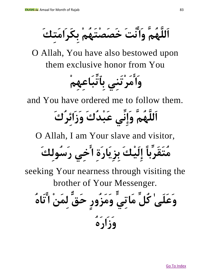**اَللَّهُمَّ وَانْتَ خَصَصْتَهُمْ بِكَرَامَتِكَ**

O Allah, You have also bestowed upon them exclusive honor from You

**وَامَرْتَنِي بِٱتِّبَاعِهِمْ**

and You have ordered me to follow them.

## **اَللَّهُمَّ وَإِنِّي عَبْدُكَ وَزَائِرُكَ**

O Allah, I am Your slave and visitor,

**مُتَقَرِّبًا إِلَيْكَ بِزِيَارَةِ اخِي رَسُولِكَ**

seeking Your nearness through visiting the brother of Your Messenger.

وَعَلَى' كُلَّ مَاتِيِّ وَمَزُوِرِ حَقٌّ لِمَنٰ اُتَّاهُ
$$
= \frac{1}{2} \left( \frac{3}{2} \right)
$$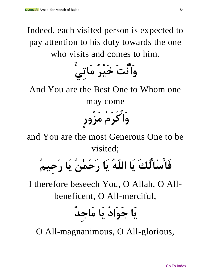Indeed, each visited person is expected to pay attention to his duty towards the one who visits and comes to him.



And You are the Best One to Whom one

may come

**وَاكْرَمُ مَزُورٍ**

and You are the most Generous One to be visited;

**فَاسْالُكَ يَا اللّهُ يَا رَحْمٰنُ يَا رَحِيمُ**

I therefore beseech You, O Allah, O Allbeneficent, O All-merciful,

**يَا جَوَادُ يَا مَاجِدُ** 

O All-magnanimous, O All-glorious,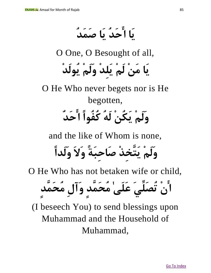**يَا احَدُ يَا صَمَدُ**

O One, O Besought of all,

**يَا مَنْ لَمْ يَلِدْ وَلَمْ يُولَدْ**

O He Who never begets nor is He begotten, **وَلَمْ يَكُنْ لَهُ كُفُوًا احَدٌ**

and the like of Whom is none,

**وَلَمْ يَتَّخِذْ صَاحِبَة وَالَ وَلَدًا**

O He Who has not betaken wife or child,

**انْ تُصَلِّيَ عَلَىٰ مُحَمَّدٍ وَآلِ مُحَمَّدٍ**

(I beseech You) to send blessings upon Muhammad and the Household of Muhammad,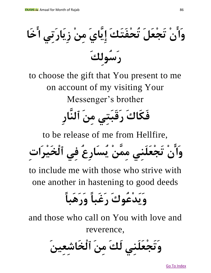**وَانْ تَجْعَلَ تُحْفَتَكَ إِيَّايَ مِنْ زِيَارَتِي اخَا رَسُولِكَ** 

to choose the gift that You present to me on account of my visiting Your Messenger's brother

## **فَكَاكَ رَقَبَتِي مِنَ ٱلنَّارِ**

to be release of me from Hellfire,

**وَانْ تَجْعَلَنِي مِمَّنْ يُسَارِعُ فِي ٱلْخَيْرَاتِ** 

to include me with those who strive with one another in hastening to good deeds

### **وَيَدْعُوكَ رَغَبًا وَرَهَبًا**

and those who call on You with love and reverence,

**وَتَجْعَلَنِي لَكَ مِنَ ٱلْخَاشِعِينَ**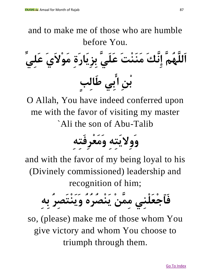and to make me of those who are humble before You. **اَللَّهُمَّ إِنَّكَ مَنَنْتَ عَلَيَّ بِزِيَارَةِ مَوْالَيَ عَلِيِّ بْنِ ابِي طَالِبٍ**

O Allah, You have indeed conferred upon me with the favor of visiting my master `Ali the son of Abu-Talib

**وَوِاليَتِهِ وَمَعْرِفَتِهِ**

and with the favor of my being loyal to his (Divinely commissioned) leadership and recognition of him;



so, (please) make me of those whom You give victory and whom You choose to triumph through them.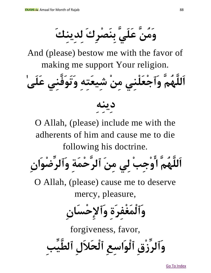**وَمُنَّ عَلَيَّ بِنَصْرِكَ لِدِينِكَ**

And (please) bestow me with the favor of making me support Your religion.





O Allah, (please) include me with the adherents of him and cause me to die following his doctrine.



O Allah, (please) cause me to deserve mercy, pleasure,

**وَٱلْمَغْفِرَةِ وَٱإلِحْسَانِ** 

forgiveness, favor,

**وَٱلرِّزْقِ ٱلْوَاسِعِ ٱلْحَالَلِ ٱلطَّيِّبِ**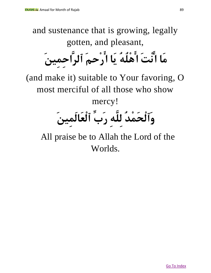and sustenance that is growing, legally gotten, and pleasant, **مَا انْتَ اهْلُهُ يَا ارْحمَ ٱلرَّاحِمِينَ**

(and make it) suitable to Your favoring, O most merciful of all those who show

mercy!

## **وَٱلْحَمْدُ لِلَّهِ رَبِّ ٱلْعَالَمِينَ**

All praise be to Allah the Lord of the Worlds.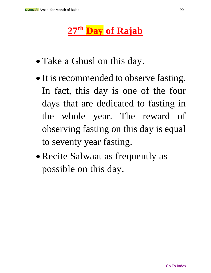#### **27th Day of Rajab**

- Take a Ghusl on this day.
- It is recommended to observe fasting. In fact, this day is one of the four days that are dedicated to fasting in the whole year. The reward of observing fasting on this day is equal to seventy year fasting.
- Recite Salwaat as frequently as possible on this day.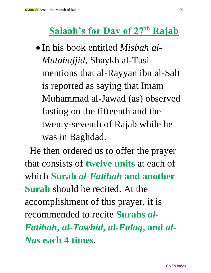#### **Salaah's for Day of 27th Rajab**

• In his book entitled *Misbah al-Mutahajjid*, Shaykh al-Tusi mentions that al-Rayyan ibn al-Salt is reported as saying that Imam Muhammad al-Jawad (as) observed fasting on the fifteenth and the twenty-seventh of Rajab while he was in Baghdad.

He then ordered us to offer the prayer that consists of **twelve units** at each of which **Surah** *al-Fatihah* **and another Surah** should be recited. At the accomplishment of this prayer, it is recommended to recite **Surahs** *al-Fatihah***,** *al-Tawhid***,** *al-Falaq***, and** *al-Nas* **each 4 times**.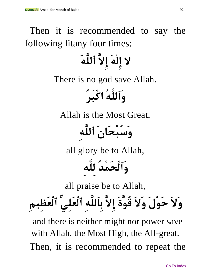### Then it is recommended to say the following litany four times: **ال إِلٰهَ إِالَّ ٱللَّهُ** There is no god save Allah. **وَٱللَّهُ اكْبَرُ** Allah is the Most Great, **وَسُبْحَانَ ٱللَّهِ** all glory be to Allah, **وَٱلْحَمْدُ لِلَّهِ** all praise be to Allah, **وَالَ حَوْلَ وَالَ قُوَّةَ إِالَّ بِٱللَّهِ ٱلْعَلِيِّ ٱلْعَظِيمِ** and there is neither might nor power save with Allah, the Most High, the All-great. Then, it is recommended to repeat the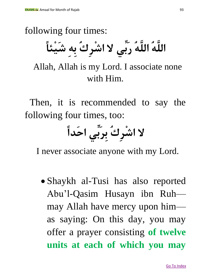following four times:

**اللَّهُ اللَّهُ رَبِّ ي ال اشْرِكُ بِهِ شَيْئًا**

Allah, Allah is my Lord. I associate none with Him.

Then, it is recommended to say the following four times, too:

**ال اشْرِكُ بِرَبِّي احَدًا**

I never associate anyone with my Lord.

 Shaykh al-Tusi has also reported Abu'l-Qasim Husayn ibn Ruh may Allah have mercy upon him as saying: On this day, you may offer a prayer consisting **of twelve units at each of which you may**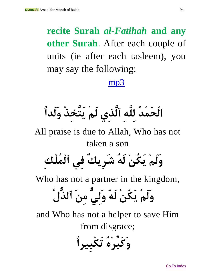#### **recite Surah** *al-Fatihah* **and any other Surah**. After each couple of units (ie after each tasleem), you may say the following:

#### [mp3](http://www.iraqnoor.net/uploads/folder4/songs/1_d3a2_yom.mp3)

**الْحَمْدُ لِلَّهِ ٱلَّذِي لَمْ يَتَّخِذْ وَلَدًا**

All praise is due to Allah, Who has not taken a son **وَلَمْ يَكُنْ لَهُ شَرِيكٌ فِي ٱلْمُلْكِ**

Who has not a partner in the kingdom,

**وَلَمْ يَكُنْ لَهُ وَلِيٌّ مِنَ ٱلذُّلِّ**

and Who has not a helper to save Him from disgrace;

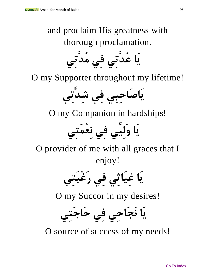#### and proclaim His greatness with thorough proclamation.

**يَا عُدَّتِي فِي مُدَّتِي**

O my Supporter throughout my lifetime!

**يَاصَاحِبِي فِي شِدَّتِي**

O my Companion in hardships!

**يَا وَلِيِّي فِي نِعْمَتِي**

O provider of me with all graces that I enjoy!

**يَا غِيَاثِي فِي رَغْبَتِي**

O my Succor in my desires!

**يَا نَجَاحِي فِي حَاجَتِي**

O source of success of my needs!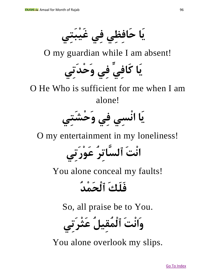**يَا حَافِظِي فِي غَيْبَتِي**

O my guardian while I am absent!

**يَا كَافِيِّ فِي وَحْدَتِي**

O He Who is sufficient for me when I am alone!



O my entertainment in my loneliness!

**انْتَ ٱلسَّاتِرُ عَوْرَتِي**

You alone conceal my faults!

### **فَلَكَ ٱلْحَمْدُ**

So, all praise be to You.

**وَانْتَ ٱلْمُقِيلُ عَثْرَتِي**

You alone overlook my slips.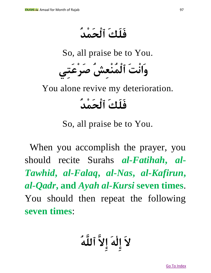**فَلَكَ ٱلْحَمْدُ**

So, all praise be to You.

**وَانْتَ ٱلْمُنْعِشُ صَرْعَتِي**

You alone revive my deterioration.

### **فَلَكَ ٱلْحَمْدُ**

So, all praise be to You.

When you accomplish the prayer, you should recite Surahs *al-Fatihah***,** *al-Tawhid***,** *al-Falaq***,** *al-Nas***,** *al-Kafirun***,**  *al-Qadr***, and** *Ayah al-Kursi* **seven times**. You should then repeat the following **seven times**:

**الَ إِلٰهَ إِالَّ ٱللَّهُ**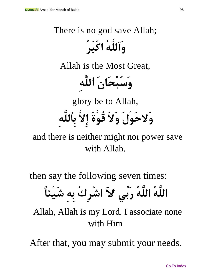### There is no god save Allah; **وَٱللَّهُ اكْبَرُ** Allah is the Most Great,

**وَسُبْحَانَ ٱللَّهِ**

glory be to Allah, **وَالحَوْلَ وَالَ قُوَّةَ إِالَّ بِٱللَّهِ**

and there is neither might nor power save with Allah.

then say the following seven times:

**اللَّهُ اللَّهُ رَبِّ ي الَ اشْرِكُ بِهِ شَيْئًا**

Allah, Allah is my Lord. I associate none with Him

After that, you may submit your needs.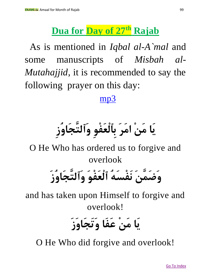#### **Dua for Day of 27th Rajab**

As is mentioned in *Iqbal al-A`mal* and some manuscripts of *Misbah al-Mutahajjid*, it is recommended to say the following prayer on this day:

#### [mp3](http://www.iraqnoor.net/uploads/folder4/songs/1_d3a2_yom.mp3)

## **يَا مَنْ امَرَ بِ ٱلْعَفْوِ وَٱلتَّ جَاوُزِ**

O He Who has ordered us to forgive and overlook

## **وَضَمَّنَ نَفْسَهُ ٱلْعَفْوَ وَٱلتَّجَاوُزَ**

and has taken upon Himself to forgive and overlook!

### **يَا مَنْ عَفَا وَتَجَاوَزَ**

O He Who did forgive and overlook!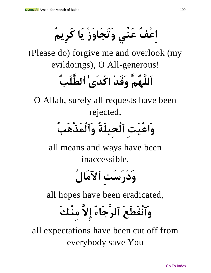**اِعْفُ عَنِّي وَتَجَاوَزْ يَا كَرِيمُ**

(Please do) forgive me and overlook (my evildoings), O All-generous!

### **اَللَّهُمَّ وَقَدْ اكْدَىٰ ٱلطَّلَبُ**

O Allah, surely all requests have been rejected,

**وَاعْيَتِ ٱلْحِيلَةُ وَٱلْمَذْهَبُ**

all means and ways have been inaccessible,

**وَدَرَسَتِ ٱآلمَالُ** 

all hopes have been eradicated,

**وَٱنْقَطَعَ ٱلرَّجَاءُ إِالَّ مِنْكَ**

all expectations have been cut off from everybody save You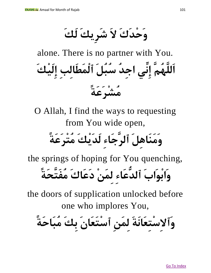**وَحْدَكَ الَ شَرِيكَ لَكَ**

alone. There is no partner with You. **اَللَّهُمَّ إِنِّي اجِدُ سُبُلَ ٱلْمَطَالِبِ إِلَيْكَ مُشْرَعَة** 

O Allah, I find the ways to requesting from You wide open,

### **وَمَنَاهِلَ ٱلرَّجَاءِ لَدَيْكَ مُتْرَعَة**

the springs of hoping for You quenching, **وَابْوَابَ ٱلدُّعَاءِ لِمَنْ دَعَاكَ مُفَتَّحَة** 

the doors of supplication unlocked before one who implores You,

**وَٱالِسْتِعَانَةَ لِمَنِ ٱسْتَعَانَ بِكَ مُبَاحَة**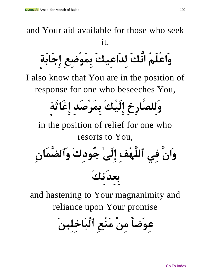and Your aid available for those who seek it.

**وَاعْلَمُ انَّكَ لِدَاعِيكَ بِمَوْضِعِ إِجَابَةٍ**

I also know that You are in the position of response for one who beseeches You,

**وَلِلصَّارِخِ إِلَيْكَ بِمَرْصَدِ إِغَاثَةٍ**

in the position of relief for one who resorts to You,

**وَانَّ فِي ٱللَّ هْفِ إِلَىٰ جُودِكَ وَٱلضَّ مَانِ بِعِدَتِكَ** 

and hastening to Your magnanimity and reliance upon Your promise

**عِوَضًا مِنْ مَنْعِ ٱلْبَاخِلِينَ**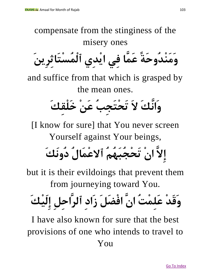compensate from the stinginess of the misery ones **وَمَنْدُوحَة عَمَّا فِي ايْدِي ٱلْمُسْتَاثِرِينَ** and suffice from that which is grasped by

the mean ones.

**وَانَّكَ الَ تَحْتَجِبُ عَنْ خَلْقِكَ** 

[I know for sure] that You never screen Yourself against Your beings,

**إِالَّ انْ تَحْجُبَهُمُ ٱالعْمَالُ دُونَكَ**

but it is their evildoings that prevent them from journeying toward You.

**وَقَدْ عَلِمْتُ انَّ افْضَلَ زَادِ ٱلرَّاحِلِ إِلَيْكَ** 

I have also known for sure that the best provisions of one who intends to travel to You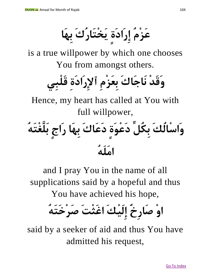**عَزْمُ إِرَادَةٍ يَخْتَارُكَ بِهَا**

is a true willpower by which one chooses You from amongst others.

**وَقَدْ نَاجَاكَ بِعَزْمِ ٱإلِرَادَةِ قَلْبِي**

Hence, my heart has called at You with full willpower,

**وَاسْالُكَ بِكُلِّ دَعْوَةٍ دَعَاكَ بِهَا رَاجٍ بَلَّغْتَهُ امَلَهُ** 

and I pray You in the name of all supplications said by a hopeful and thus

You have achieved his hope,

**اوْ صَارِخٌ إِلَيْكَ اغَثْتَ صَرْخَتَهُ**

said by a seeker of aid and thus You have admitted his request,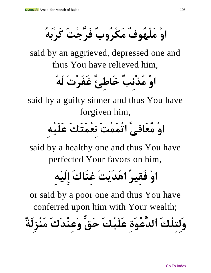**اوْ مَلْهُوفٌ مَكْرُوبٌ فَرَّجْتَ كَرْبَهُ**

said by an aggrieved, depressed one and thus You have relieved him,

**اوْ مُذْنِبٌ خَاطِئٌ غَفَرْتَ لَهُ** 

said by a guilty sinner and thus You have forgiven him,

**اوْ مُعَافى اتْمَمْتَ نِعْمَتَكَ عَلَيْهِ**

said by a healthy one and thus You have perfected Your favors on him,

**اوْ فَقِيرٌ اهْدَيْتَ غِنَاكَ إِلَيْهِ**

or said by a poor one and thus You have conferred upon him with Your wealth; **وَلِتِلْكَ ٱلدَّ عْوَةِ عَلَيْكَ حَقٌّ وَعِنْدَكَ مَنْزِلَةٌ**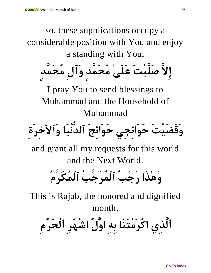so, these supplications occupy a considerable position with You and enjoy a standing with You, **إِالَّ صَلَّيْتَ عَلَىٰ مُحَمَّدٍ وَآلِ مُحَمَّدٍ** I pray You to send blessings to Muhammad and the Household of Muhammad **وَقَضَيْتَ حَوَائِجِي حَوَائِجَ ٱلدُّنْيَا وَٱآلخِرَةِ** and grant all my requests for this world and the Next World. **وَهٰذَا رَجَبٌ ٱلْمُرَجَّبُ ٱلْمُكَرَّمُ** This is Rajab, the honored and dignified month, **ٱلَّذِي اكْرَمْتَنَا بِهِ اوَّلُ اشْهُرِ ٱلْحُرُمِ**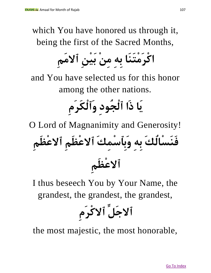which You have honored us through it, being the first of the Sacred Months,

**اكْرَمْتَنَا بِهِ مِنْ بَيْنِ ٱالمَمِ**

and You have selected us for this honor among the other nations.

### **يَا ذَا ٱلْجُودِ وَٱلْكَرَمِ**

O Lord of Magnanimity and Generosity!

**فَنَسْالُكَ بِهِ وَبِٱسْمِكَ ٱالعْظَمِ ٱالعْظَمِ ٱالعْظَمِ** 

I thus beseech You by Your Name, the grandest, the grandest, the grandest,

**ٱالجَلِّ ٱالكْرَمِ**

the most majestic, the most honorable,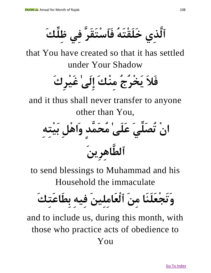**ٱلَّذِي خَلَقْتَهُ فَٱسْتَقَرَّ فِي ظِلِّ كَ**

that You have created so that it has settled under Your Shadow

**فَالَ يَخْرُجُ مِنْكَ إِلَىٰ غَيْرِكَ** 

and it thus shall never transfer to anyone other than You,

**انْ تُصَلِّيَ عَلَىٰ مُحَمَّدٍ وَاهْلِ بَيْتِهِ ٱلطَّاهِرِينَ** 

to send blessings to Muhammad and his Household the immaculate

**وَتَجْعَلَنَا مِنَ ٱلْعَامِلِينَ فِيهِ بِطَاعَتِكَ** 

and to include us, during this month, with those who practice acts of obedience to You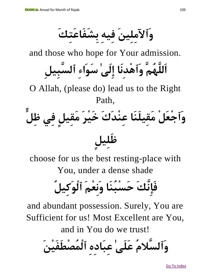**وَٱآلمِلِينَ فِيهِ بِشَفَاعَتِكَ**

and those who hope for Your admission.

**اَللَّهُمَّ وَٱهْدِنَا إِلَىٰ سَوَاءِ ٱلسَّبِيلِ**

O Allah, (please do) lead us to the Right Path,

**وَٱجْعَلْ مَقِيلَنَا عِنْدَكَ خَيْرَ مَقِيلٍ فِي ظِلٍّ ظَلِيلٍ**

choose for us the best resting-place with You, under a dense shade

**فَإِنَّكَ حَسْبُنَا وَنِعْمَ ٱلْوَكِيلُ** 

and abundant possession. Surely, You are Sufficient for us! Most Excellent are You,

and in You do we trust!

**وَٱلسَّالمُ عَلَىٰ عِبَادِهِ ٱلْمُصْطَفَيْنَ**

Go To Index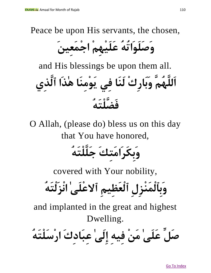Peace be upon His servants, the chosen,

**وَصَلَوَاتُهُ عَلَيْهِمْ اجْمَعِينَ**

and His blessings be upon them all. **اَللَّهُمَّ وَبَارِكْ لَنَا فِي يَوْمِنَا هٰذَا ٱلَّذِي** 

## **فَضَّلْتَهُ**

O Allah, (please do) bless us on this day that You have honored,

**وَبِكَرَامَتِكَ جَلَّلْتَهُ** 

covered with Your nobility,

**وَبِٱلْمَنْزِلِ ٱلْعَظِيمِ ٱالعْلَىٰ انْزَلْتَهُ**

and implanted in the great and highest Dwelling.

**صَلِّ عَلَىٰ مَنْ فِيهِ إِلَىٰ عِبَادِكَ ارْسَلْتَهُ**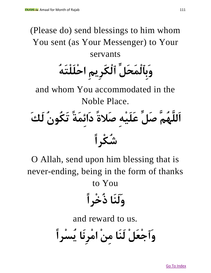## (Please do) send blessings to him whom You sent (as Your Messenger) to Your servants **وَبِٱلْمَحَلِّ ٱلْكَرِيمِ احْلَلْتَهُ** and whom You accommodated in the Noble Place.



O Allah, send upon him blessing that is never-ending, being in the form of thanks to You

**وَلَنَا ذُخْرًا**

and reward to us.

**وَٱجْعَلْ لَنَا مِنْ امْرِنَا يُسْرًا**

Go To Index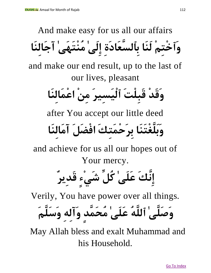And make easy for us all our affairs **وَٱخْتِمْ لَنَا بِٱلسَّعَادَةِ إِلَىٰ مُنْتَهَىٰ آجَالِنَا** and make our end result, up to the last of our lives, pleasant **وَقَدْ قَبِلْتَ ٱلْيَسِيرَ مِنْ اعْمَالِنَا** after You accept our little deed **وَبَلَّغْتَنَا بِرَحْمَتِكَ افْضَلَ آمَالِنَا** and achieve for us all our hopes out of Your mercy.

**إِنَّكَ عَلَىٰ كُلِّ شَيْءٍ قَدِيرٌ**

Verily, You have power over all things.

**وَصَلَّىٰ ٱللَّهُ عَلَىٰ مُحَمَّدٍ وَآلِهِ وَسَلَّمَ** 

May Allah bless and exalt Muhammad and his Household.